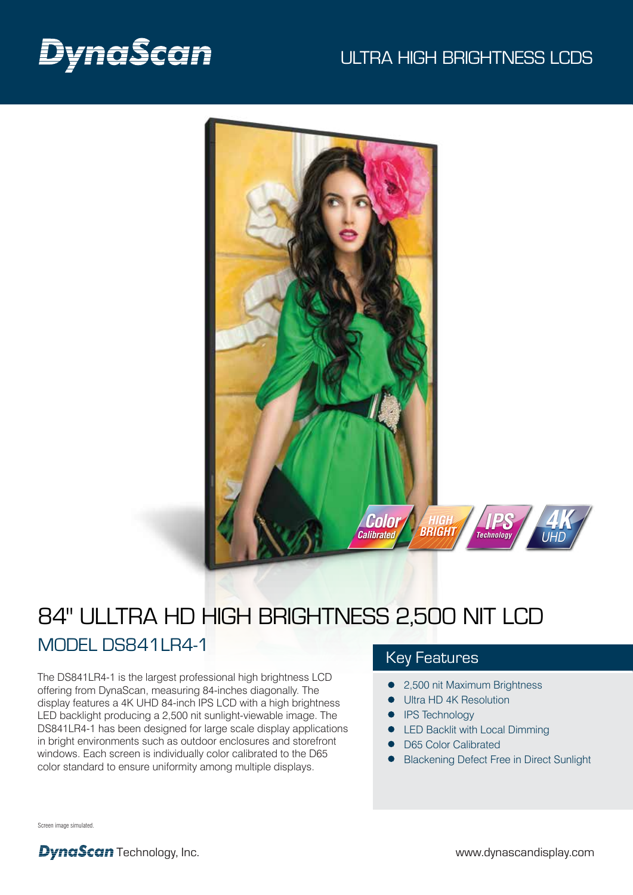# DynaScan

### ULTRA HIGH BRIGHTNESS LCDS



## 84" ULLTRA HD HIGH BRIGHTNESS 2,500 NIT LCD MODEL DS841LR4-1

The DS841LR4-1 is the largest professional high brightness LCD offering from DynaScan, measuring 84-inches diagonally. The display features a 4K UHD 84-inch IPS LCD with a high brightness LED backlight producing a 2,500 nit sunlight-viewable image. The DS841LR4-1 has been designed for large scale display applications in bright environments such as outdoor enclosures and storefront windows. Each screen is individually color calibrated to the D65 color standard to ensure uniformity among multiple displays.

### Key Features

- 2,500 nit Maximum Brightness
- **Ultra HD 4K Resolution**
- **•** IPS Technology
- LED Backlit with Local Dimming
- D65 Color Calibrated
- Blackening Defect Free in Direct Sunlight

Screen image simulated.